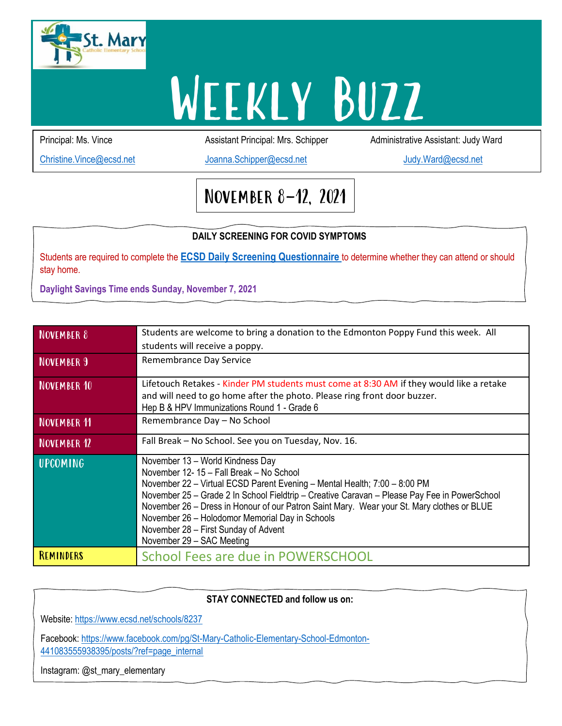

# **WEEKLY BUZZ**

Principal: Ms. Vince **Assistant Principal: Mrs. Schipper** Administrative Assistant: Judy Ward

[Christine.Vince@ecsd.net](mailto:Christine.Vince@ecsd.net) [Joanna.Schipper@ecsd.net](mailto:Joanna.Schipper@ecsd.net) [Judy.Ward@ecsd.net](mailto:Judy.Ward@ecsd.net)

## November 8-12, 2021

#### **DAILY SCREENING FOR COVID SYMPTOMS**

Students are required to complete the **[ECSD Daily Screening Questionnaire](https://open.alberta.ca/dataset/56c020ed-1782-4c6c-bfdd-5af36754471f/resource/58957831-a4ab-45ff-9a8e-3c6af7c1622e/download/covid-19-information-alberta-health-daily-checklist-2021-08.pdf)** to determine whether they can attend or should stay home.

**Daylight Savings Time ends Sunday, November 7, 2021**

| NOVEMBER 8         | Students are welcome to bring a donation to the Edmonton Poppy Fund this week. All<br>students will receive a poppy.                                                                                                                                                                                                                                                                                                                                                           |
|--------------------|--------------------------------------------------------------------------------------------------------------------------------------------------------------------------------------------------------------------------------------------------------------------------------------------------------------------------------------------------------------------------------------------------------------------------------------------------------------------------------|
| <b>NOVEMBER 9</b>  | Remembrance Day Service                                                                                                                                                                                                                                                                                                                                                                                                                                                        |
| <b>NOVEMBER 10</b> | Lifetouch Retakes - Kinder PM students must come at 8:30 AM if they would like a retake<br>and will need to go home after the photo. Please ring front door buzzer.<br>Hep B & HPV Immunizations Round 1 - Grade 6                                                                                                                                                                                                                                                             |
| NOVEMBER 11        | Remembrance Day - No School                                                                                                                                                                                                                                                                                                                                                                                                                                                    |
| <b>NOVEMBER 12</b> | Fall Break - No School. See you on Tuesday, Nov. 16.                                                                                                                                                                                                                                                                                                                                                                                                                           |
| <b>UPCOMING</b>    | November 13 - World Kindness Day<br>November 12-15 - Fall Break - No School<br>November 22 - Virtual ECSD Parent Evening - Mental Health; 7:00 - 8:00 PM<br>November 25 - Grade 2 In School Fieldtrip - Creative Caravan - Please Pay Fee in PowerSchool<br>November 26 – Dress in Honour of our Patron Saint Mary. Wear your St. Mary clothes or BLUE<br>November 26 - Holodomor Memorial Day in Schools<br>November 28 - First Sunday of Advent<br>November 29 - SAC Meeting |
| REMINDERS          | School Fees are due in POWERSCHOOL                                                                                                                                                                                                                                                                                                                                                                                                                                             |

### **DAILY STAY CONNECTED and follow us on:**

Website: <https://www.ecsd.net/schools/8237>

Facebook: [https://www.facebook.com/pg/St-Mary-Catholic-Elementary-School-Edmonton-](https://www.facebook.com/pg/St-Mary-Catholic-Elementary-School-Edmonton-441083555938395/posts/?ref=page_internal)[441083555938395/posts/?ref=page\\_internal](https://www.facebook.com/pg/St-Mary-Catholic-Elementary-School-Edmonton-441083555938395/posts/?ref=page_internal)

Instagram: @st\_mary\_elementary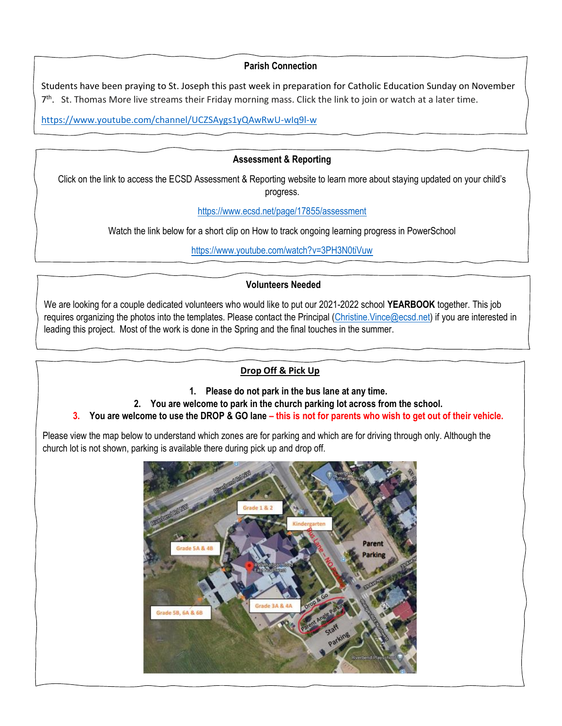#### **Parish Connection**

Students have been praying to St. Joseph this past week in preparation for Catholic Education Sunday on November 7<sup>th</sup>. St. Thomas More live streams their Friday morning mass. Click the link to join or watch at a later time.

[https://www.youtube.com/channel/UCZSAygs1yQAwRwU-wIq9l-w](https://can01.safelinks.protection.outlook.com/?url=https%3A%2F%2Fwww.youtube.com%2Fchannel%2FUCZSAygs1yQAwRwU-wIq9l-w&data=04%7C01%7CChristine.Vince%40ecsd.net%7C95057bfaee434a9d14d008d99a498e32%7Cb18d9f6f0743460da19b0b3297eeeb89%7C0%7C0%7C637710462981645559%7CUnknown%7CTWFpbGZsb3d8eyJWIjoiMC4wLjAwMDAiLCJQIjoiV2luMzIiLCJBTiI6Ik1haWwiLCJXVCI6Mn0%3D%7C1000&sdata=KaPLAruKn0CJ3buYSD%2FVFr5kHurhtCtc4OtR%2FVvftNA%3D&reserved=0)

#### **Assessment & Reporting**

Click on the link to access the ECSD Assessment & Reporting website to learn more about staying updated on your child's<br>exerces progress.

<https://www.ecsd.net/page/17855/assessment>

Watch the link below for a short clip on How to track ongoing learning progress in PowerSchool

https://www.youtube.com/watch?v=3PH3N0tiVuw

#### **Volunteers Needed**

We are looking for a couple dedicated volunteers who would like to put our 2021-2022 school **YEARBOOK** together. This job requires organizing the photos into the templates. Please contact the Principal [\(Christine.Vince@ecsd.net\)](mailto:Christine.Vince@ecsd.net) if you are interested in leading this project. Most of the work is done in the Spring and the final touches in the summer.

#### **Drop Off & Pick Up**

#### **1. Please do not park in the bus lane at any time.**

- **2. You are welcome to park in the church parking lot across from the school.**
- **3. You are welcome to use the DROP & GO lane – this is not for parents who wish to get out of their vehicle.**

Please view the map below to understand which zones are for parking and which are for driving through only. Although the church lot is not shown, parking is available there during pick up and drop off.